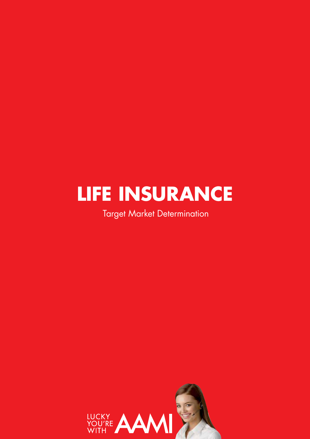## **LIFE INSURANCE**

Target Market Determination

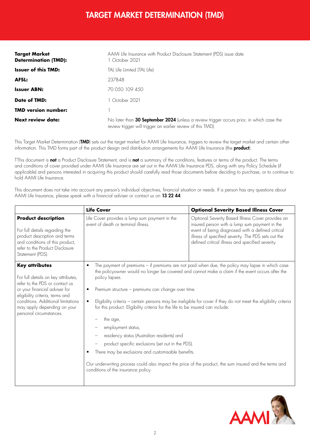## TARGET MARKET DETERMINATION (TMD)

| <b>Target Market</b><br><b>Determination (TMD):</b> | AAMI Life Insurance with Product Disclosure Statement (PDS) issue date<br>October 2021                                                                  |  |
|-----------------------------------------------------|---------------------------------------------------------------------------------------------------------------------------------------------------------|--|
| <b>Issuer of this TMD:</b>                          | TAL Life Limited (TAL Life)                                                                                                                             |  |
| <b>AFSL:</b>                                        | 237848                                                                                                                                                  |  |
| <b>Issuer ABN:</b>                                  | 70 0.50 109 4.50                                                                                                                                        |  |
| Date of TMD:                                        | October 2021                                                                                                                                            |  |
| <b>TMD version number:</b>                          |                                                                                                                                                         |  |
| <b>Next review date:</b>                            | No later than 30 September 2024 (unless a review trigger occurs prior, in which case the<br>review trigger will trigger an earlier review of this TMD). |  |

This Target Market Determination (TMD) sets out the target market for AAMI Life Insurance, triggers to review the target market and certain other information. This TMD forms part of the product design and distribution arrangements for AAMI Life Insurance (the **product**).

TThis document is not a Product Disclosure Statement, and is not a summary of the conditions, features or terms of the product. The terms and conditions of cover provided under AAMI Life Insurance are set out in the AAMI Life Insurance PDS, along with any Policy Schedule (if applicable) and persons interested in acquiring this product should carefully read those documents before deciding to purchase, or to continue to hold AAMI Life Insurance.

This document does not take into account any person's individual objectives, financial situation or needs. If a person has any questions about AAMI Life Insurance, please speak with a financial adviser or contact us on 13 22 44.

|                                                                                                                                                                                                                                                                    | <b>Life Cover</b>                                                                                                                                                                                                                                                                                                                                                                                                                                                                                                                                       | <b>Optional Severity Based Illness Cover</b>                                                                                                                                                                                                                                                                           |
|--------------------------------------------------------------------------------------------------------------------------------------------------------------------------------------------------------------------------------------------------------------------|---------------------------------------------------------------------------------------------------------------------------------------------------------------------------------------------------------------------------------------------------------------------------------------------------------------------------------------------------------------------------------------------------------------------------------------------------------------------------------------------------------------------------------------------------------|------------------------------------------------------------------------------------------------------------------------------------------------------------------------------------------------------------------------------------------------------------------------------------------------------------------------|
| <b>Product description</b><br>For full details regarding the<br>product description and terms<br>and conditions of this product,<br>refer to the Product Disclosure<br>Statement (PDS).                                                                            | Life Cover provides a lump sum payment in the<br>event of death or terminal illness.                                                                                                                                                                                                                                                                                                                                                                                                                                                                    | Optional Severity Based Illness Cover provides an<br>insured person with a lump sum payment in the<br>event of being diagnosed with a defined critical<br>illness of specified severity. The PDS sets out the<br>defined critical illness and specified severity.                                                      |
| <b>Key attributes</b><br>For full details on key attributes,<br>refer to the PDS or contact us<br>or your financial adviser for<br>eligibility criteria, terms and<br>conditions. Additional limitations<br>may apply depending on your<br>personal circumstances. | $\bullet$<br>policy lapses.<br>Premium structure - premiums can change over time.<br>$\bullet$<br>$\bullet$<br>for this product. Eligibility criteria for the life to be insured can include:<br>the age,<br>employment status,<br>residency status (Australian residents) and<br>product specific exclusions (set out in the PDS).<br>There may be exclusions and customisable benefits.<br>$\bullet$<br>Our underwriting process could also impact the price of the product, the sum insured and the terms and<br>conditions of the insurance policy. | The payment of premiums - if premiums are not paid when due, the policy may lapse in which case<br>the policyowner would no longer be covered and cannot make a claim if the event occurs after the<br>Eligibility criteria - certain persons may be ineligible for cover if they do not meet the eligibility criteria |

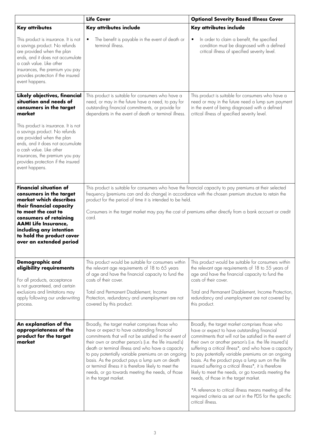|                                                                                                                                                                                                                                                                                                                                                               | <b>Life Cover</b>                                                                                                                                                                                                                                                                                                                                                                                                                                                                                                       | <b>Optional Severity Based Illness Cover</b>                                                                                                                                                                                                                                                                                                                                                                                                                                                                                                                                                                                                                                                  |
|---------------------------------------------------------------------------------------------------------------------------------------------------------------------------------------------------------------------------------------------------------------------------------------------------------------------------------------------------------------|-------------------------------------------------------------------------------------------------------------------------------------------------------------------------------------------------------------------------------------------------------------------------------------------------------------------------------------------------------------------------------------------------------------------------------------------------------------------------------------------------------------------------|-----------------------------------------------------------------------------------------------------------------------------------------------------------------------------------------------------------------------------------------------------------------------------------------------------------------------------------------------------------------------------------------------------------------------------------------------------------------------------------------------------------------------------------------------------------------------------------------------------------------------------------------------------------------------------------------------|
| <b>Key attributes</b>                                                                                                                                                                                                                                                                                                                                         | Key attributes include                                                                                                                                                                                                                                                                                                                                                                                                                                                                                                  | Key attributes include                                                                                                                                                                                                                                                                                                                                                                                                                                                                                                                                                                                                                                                                        |
| This product is insurance. It is not<br>a savings product. No refunds<br>are provided when the plan<br>ends, and it does not accumulate<br>a cash value. Like other<br>insurances, the premium you pay<br>provides protection if the insured<br>event happens.                                                                                                | The benefit is payable in the event of death or<br>$\bullet$<br>terminal illness.                                                                                                                                                                                                                                                                                                                                                                                                                                       | In order to claim a benefit, the specified<br>$\bullet$<br>condition must be diagnosed with a defined<br>critical illness of specified severity level.                                                                                                                                                                                                                                                                                                                                                                                                                                                                                                                                        |
| Likely objectives, financial<br>situation and needs of<br>consumers in the target<br>market<br>This product is insurance. It is not<br>a savings product. No refunds<br>are provided when the plan<br>ends, and it does not accumulate<br>a cash value. Like other<br>insurances, the premium you pay<br>provides protection if the insured<br>event happens. | This product is suitable for consumers who have a<br>need, or may in the future have a need, to pay for<br>outstanding financial commitments, or provide for<br>dependants in the event of death or terminal illness.                                                                                                                                                                                                                                                                                                   | This product is suitable for consumers who have a<br>need or may in the future need a lump sum payment<br>in the event of being diagnosed with a defined<br>critical illness of specified severity level.                                                                                                                                                                                                                                                                                                                                                                                                                                                                                     |
| <b>Financial situation of</b><br>consumers in the target<br>market which describes<br>their financial capacity<br>to meet the cost to<br>consumers of retaining<br><b>AAMI Life Insurance,</b><br>including any intention<br>to hold the product cover<br>over an extended period                                                                             | This product is suitable for consumers who have the financial capacity to pay premiums at their selected<br>frequency (premiums can and do change) in accordance with the chosen premium structure to retain the<br>product for the period of time it is intended to be held.<br>Consumers in the target market may pay the cost of premiums either directly from a bank account or credit<br>card.                                                                                                                     |                                                                                                                                                                                                                                                                                                                                                                                                                                                                                                                                                                                                                                                                                               |
| Demographic and<br>eligibility requirements<br>For all products, acceptance<br>is not guaranteed, and certain<br>exclusions and limitations may<br>apply following our underwriting<br>process.                                                                                                                                                               | This product would be suitable for consumers within<br>the relevant age requirements of 18 to 65 years<br>of age and have the financial capacity to fund the<br>costs of their cover.<br>Total and Permanent Disablement, Income<br>Protection, redundancy and unemployment are not<br>covered by this product.                                                                                                                                                                                                         | This product would be suitable for consumers within<br>the relevant age requirements of 18 to 55 years of<br>age and have the financial capacity to fund the<br>costs of their cover.<br>Total and Permanent Disablement, Income Protection,<br>redundancy and unemployment are not covered by<br>this product.                                                                                                                                                                                                                                                                                                                                                                               |
| An explanation of the<br>appropriateness of the<br>product for the target<br>market                                                                                                                                                                                                                                                                           | Broadly, the target market comprises those who<br>have or expect to have outstanding financial<br>commitments that will not be satisfied in the event of<br>their own or another person's (i.e. the life insured's)<br>death or terminal illness and who have a capacity<br>to pay potentially variable premiums on an ongoing<br>basis. As the product pays a lump sum on death<br>or terminal illness it is therefore likely to meet the<br>needs, or go towards meeting the needs, of those<br>in the target market. | Broadly, the target market comprises those who<br>have or expect to have outstanding financial<br>commitments that will not be satisfied in the event of<br>their own or another person's (i.e. the life insured's)<br>suffering a critical illness*, and who have a capacity<br>to pay potentially variable premiums on an ongoing<br>basis. As the product pays a lump sum on the life<br>insured suffering a critical illness*, it is therefore<br>likely to meet the needs, or go towards meeting the<br>needs, of those in the target market.<br>*A reference to critical illness means meeting all the<br>required criteria as set out in the PDS for the specific<br>critical illness. |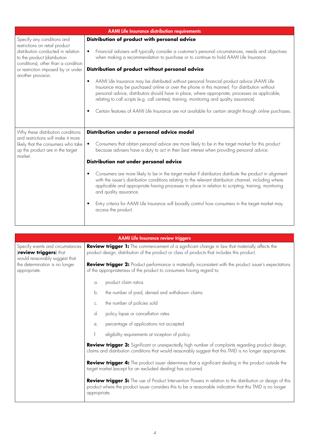| <b>AAMI Life Insurance distribution requirements</b>                                                                                                                                                                                  |                                                                                                                                                                                                                                                                                                                                                                                                            |  |
|---------------------------------------------------------------------------------------------------------------------------------------------------------------------------------------------------------------------------------------|------------------------------------------------------------------------------------------------------------------------------------------------------------------------------------------------------------------------------------------------------------------------------------------------------------------------------------------------------------------------------------------------------------|--|
|                                                                                                                                                                                                                                       |                                                                                                                                                                                                                                                                                                                                                                                                            |  |
| Specify any conditions and<br>restrictions on retail product<br>distribution conducted in relation<br>to the product (distribution<br>conditions), other than a condition<br>or restriction imposed by or under<br>another provision. | Distribution of product with personal advice<br>Financial advisers will typically consider a customer's personal circumstances, needs and objectives<br>$\bullet$<br>when making a recommendation to purchase or to continue to hold AAMI Life Insurance.                                                                                                                                                  |  |
|                                                                                                                                                                                                                                       | Distribution of product without personal advice                                                                                                                                                                                                                                                                                                                                                            |  |
|                                                                                                                                                                                                                                       | AAMI Life Insurance may be distributed without personal financial product advice (AAMI Life<br>$\bullet$<br>Insurance may be purchased online or over the phone in this manner). For distribution without<br>personal advice, distributors should have in place, where appropriate, processes as applicable,<br>relating to call scripts (e.g. call centres), training, monitoring and quality assurance). |  |
|                                                                                                                                                                                                                                       | Certain features of AAMI Life Insurance are not available for certain straight through online purchases.<br>$\bullet$                                                                                                                                                                                                                                                                                      |  |
| Why these distribution conditions                                                                                                                                                                                                     | Distribution under a personal advice model                                                                                                                                                                                                                                                                                                                                                                 |  |
| and restrictions will make it more<br>likely that the consumers who take<br>up the product are in the target<br>market.                                                                                                               | Consumers that obtain personal advice are more likely to be in the target market for this product<br>because advisers have a duty to act in their best interest when providing personal advice.                                                                                                                                                                                                            |  |
|                                                                                                                                                                                                                                       | Distribution not under personal advice                                                                                                                                                                                                                                                                                                                                                                     |  |
|                                                                                                                                                                                                                                       | Consumers are more likely to be in the target market if distributors distribute the product in alignment<br>$\bullet$<br>with the issuer's distribution conditions relating to the relevant distribution channel, including where<br>applicable and appropriate having processes in place in relation to scripting, training, monitoring<br>and quality assurance.                                         |  |
|                                                                                                                                                                                                                                       | Entry criteria for AAMI Life Insurance will broadly control how consumers in the target market may<br>$\bullet$<br>access the product.                                                                                                                                                                                                                                                                     |  |

| <b>AAMI Life Insurance review triggers</b>                                                                                                    |                                                                                                                                                                                                                                        |  |
|-----------------------------------------------------------------------------------------------------------------------------------------------|----------------------------------------------------------------------------------------------------------------------------------------------------------------------------------------------------------------------------------------|--|
| Specify events and circumstances<br>(review triggers) that<br>would reasonably suggest that<br>the determination is no longer<br>appropriate. | Review trigger 1: The commencement of a significant change in law that materially affects the<br>product design, distribution of the product or class of products that includes this product.                                          |  |
|                                                                                                                                               | Review trigger 2: Product performance is materially inconsistent with the product issuer's expectations<br>of the appropriateness of the product to consumers having regard to:                                                        |  |
|                                                                                                                                               | product claim ratios<br>a.                                                                                                                                                                                                             |  |
|                                                                                                                                               | the number of paid, denied and withdrawn claims<br>b.                                                                                                                                                                                  |  |
|                                                                                                                                               | the number of policies sold<br>C.                                                                                                                                                                                                      |  |
|                                                                                                                                               | policy lapse or cancellation rates<br>d.                                                                                                                                                                                               |  |
|                                                                                                                                               | percentage of applications not accepted<br>е.                                                                                                                                                                                          |  |
|                                                                                                                                               | f.<br>eligibility requirements at inception of policy.                                                                                                                                                                                 |  |
|                                                                                                                                               | Review trigger 3: Significant or unexpectedly high number of complaints regarding product design,<br>claims and distribution conditions that would reasonably suggest that this TMD is no longer appropriate.                          |  |
|                                                                                                                                               | Review trigger 4: The product issuer determines that a significant dealing in the product outside the<br>target market (except for an excluded dealing) has occurred.                                                                  |  |
|                                                                                                                                               | Review trigger 5: The use of Product Intervention Powers in relation to the distribution or design of this<br>product where the product issuer considers this to be a reasonable indication that this TMD is no longer<br>appropriate. |  |